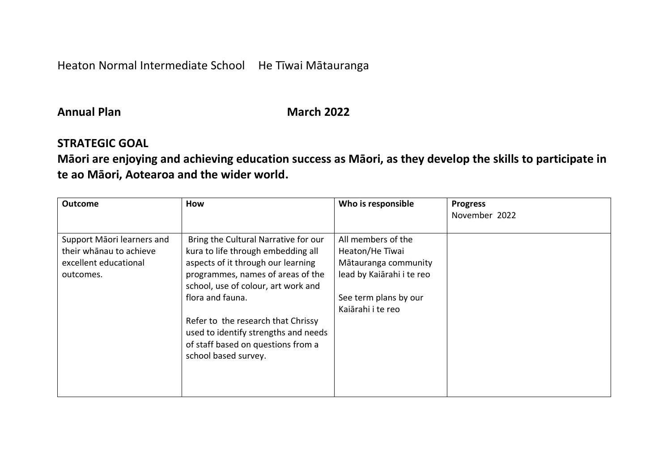Heaton Normal Intermediate School He Tīwai Mātauranga

#### **Annual Plan March** 2022

#### **STRATEGIC GOAL**

**Māori are enjoying and achieving education success as Māori, as they develop the skills to participate in te ao Māori, Aotearoa and the wider world.**

| <b>Outcome</b>                                                                              | How                                                                                                                                                                                                                                                                                                                                                          | Who is responsible                                                                                                                       | <b>Progress</b><br>November 2022 |
|---------------------------------------------------------------------------------------------|--------------------------------------------------------------------------------------------------------------------------------------------------------------------------------------------------------------------------------------------------------------------------------------------------------------------------------------------------------------|------------------------------------------------------------------------------------------------------------------------------------------|----------------------------------|
| Support Māori learners and<br>their whānau to achieve<br>excellent educational<br>outcomes. | Bring the Cultural Narrative for our<br>kura to life through embedding all<br>aspects of it through our learning<br>programmes, names of areas of the<br>school, use of colour, art work and<br>flora and fauna.<br>Refer to the research that Chrissy<br>used to identify strengths and needs<br>of staff based on questions from a<br>school based survey. | All members of the<br>Heaton/He Tiwai<br>Mātauranga community<br>lead by Kaiārahi i te reo<br>See term plans by our<br>Kaiārahi i te reo |                                  |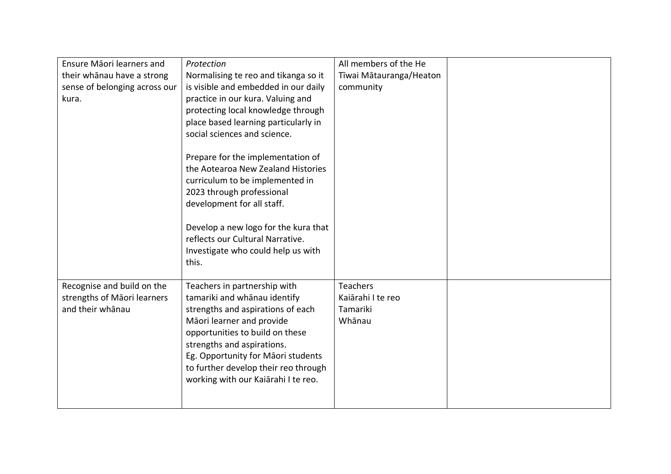| Ensure Māori learners and     | Protection                           | All members of the He   |  |
|-------------------------------|--------------------------------------|-------------------------|--|
| their whānau have a strong    | Normalising te reo and tikanga so it | Tīwai Mātauranga/Heaton |  |
| sense of belonging across our | is visible and embedded in our daily | community               |  |
| kura.                         | practice in our kura. Valuing and    |                         |  |
|                               | protecting local knowledge through   |                         |  |
|                               | place based learning particularly in |                         |  |
|                               | social sciences and science.         |                         |  |
|                               |                                      |                         |  |
|                               | Prepare for the implementation of    |                         |  |
|                               | the Aotearoa New Zealand Histories   |                         |  |
|                               | curriculum to be implemented in      |                         |  |
|                               | 2023 through professional            |                         |  |
|                               | development for all staff.           |                         |  |
|                               |                                      |                         |  |
|                               | Develop a new logo for the kura that |                         |  |
|                               | reflects our Cultural Narrative.     |                         |  |
|                               | Investigate who could help us with   |                         |  |
|                               | this.                                |                         |  |
|                               |                                      |                         |  |
| Recognise and build on the    | Teachers in partnership with         | <b>Teachers</b>         |  |
| strengths of Māori learners   | tamariki and whānau identify         | Kaiārahi I te reo       |  |
| and their whānau              | strengths and aspirations of each    | Tamariki                |  |
|                               | Māori learner and provide            | Whānau                  |  |
|                               | opportunities to build on these      |                         |  |
|                               | strengths and aspirations.           |                         |  |
|                               | Eg. Opportunity for Māori students   |                         |  |
|                               | to further develop their reo through |                         |  |
|                               | working with our Kaiārahi I te reo.  |                         |  |
|                               |                                      |                         |  |
|                               |                                      |                         |  |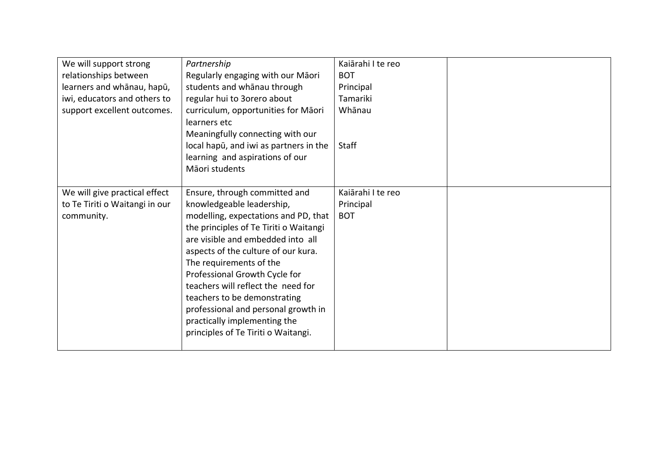| We will support strong<br>relationships between<br>learners and whānau, hapū,<br>iwi, educators and others to<br>support excellent outcomes. | Partnership<br>Regularly engaging with our Māori<br>students and whānau through<br>regular hui to 3orero about<br>curriculum, opportunities for Māori<br>learners etc<br>Meaningfully connecting with our<br>local hapu, and iwi as partners in the<br>learning and aspirations of our<br>Māori students                                                                                                                                                                 | Kaiārahi I te reo<br><b>BOT</b><br>Principal<br>Tamariki<br>Whānau<br><b>Staff</b> |  |
|----------------------------------------------------------------------------------------------------------------------------------------------|--------------------------------------------------------------------------------------------------------------------------------------------------------------------------------------------------------------------------------------------------------------------------------------------------------------------------------------------------------------------------------------------------------------------------------------------------------------------------|------------------------------------------------------------------------------------|--|
| We will give practical effect<br>to Te Tiriti o Waitangi in our<br>community.                                                                | Ensure, through committed and<br>knowledgeable leadership,<br>modelling, expectations and PD, that<br>the principles of Te Tiriti o Waitangi<br>are visible and embedded into all<br>aspects of the culture of our kura.<br>The requirements of the<br>Professional Growth Cycle for<br>teachers will reflect the need for<br>teachers to be demonstrating<br>professional and personal growth in<br>practically implementing the<br>principles of Te Tiriti o Waitangi. | Kajārahi I te reo<br>Principal<br><b>BOT</b>                                       |  |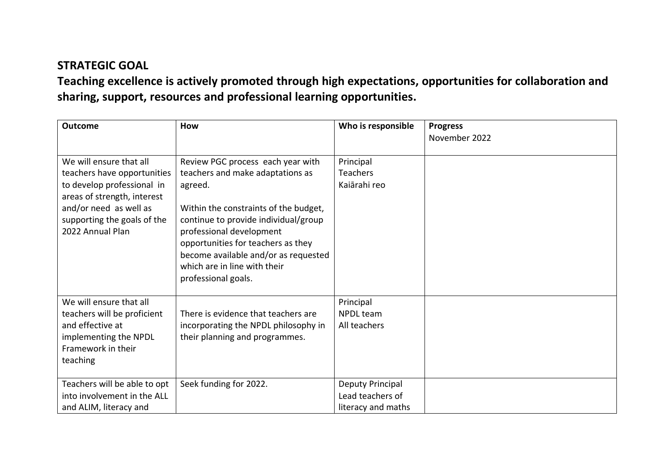**Teaching excellence is actively promoted through high expectations, opportunities for collaboration and sharing, support, resources and professional learning opportunities.**

| <b>Outcome</b>                                                                                                                                                                                   | How                                                                                                                                                                                                                                                                                                                                | Who is responsible                                         | <b>Progress</b><br>November 2022 |
|--------------------------------------------------------------------------------------------------------------------------------------------------------------------------------------------------|------------------------------------------------------------------------------------------------------------------------------------------------------------------------------------------------------------------------------------------------------------------------------------------------------------------------------------|------------------------------------------------------------|----------------------------------|
| We will ensure that all<br>teachers have opportunities<br>to develop professional in<br>areas of strength, interest<br>and/or need as well as<br>supporting the goals of the<br>2022 Annual Plan | Review PGC process each year with<br>teachers and make adaptations as<br>agreed.<br>Within the constraints of the budget,<br>continue to provide individual/group<br>professional development<br>opportunities for teachers as they<br>become available and/or as requested<br>which are in line with their<br>professional goals. | Principal<br><b>Teachers</b><br>Kaiārahi reo               |                                  |
| We will ensure that all<br>teachers will be proficient<br>and effective at<br>implementing the NPDL<br>Framework in their<br>teaching                                                            | There is evidence that teachers are<br>incorporating the NPDL philosophy in<br>their planning and programmes.                                                                                                                                                                                                                      | Principal<br><b>NPDL</b> team<br>All teachers              |                                  |
| Teachers will be able to opt<br>into involvement in the ALL<br>and ALIM, literacy and                                                                                                            | Seek funding for 2022.                                                                                                                                                                                                                                                                                                             | Deputy Principal<br>Lead teachers of<br>literacy and maths |                                  |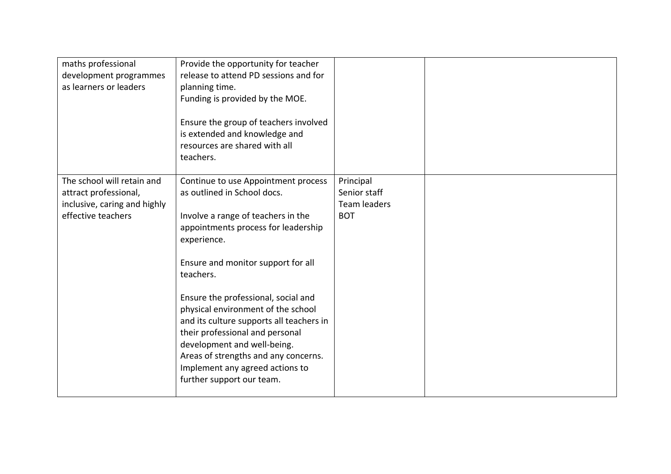| maths professional<br>development programmes<br>as learners or leaders                                    | Provide the opportunity for teacher<br>release to attend PD sessions and for<br>planning time.<br>Funding is provided by the MOE.<br>Ensure the group of teachers involved<br>is extended and knowledge and<br>resources are shared with all<br>teachers.                                       |                                                         |  |
|-----------------------------------------------------------------------------------------------------------|-------------------------------------------------------------------------------------------------------------------------------------------------------------------------------------------------------------------------------------------------------------------------------------------------|---------------------------------------------------------|--|
| The school will retain and<br>attract professional,<br>inclusive, caring and highly<br>effective teachers | Continue to use Appointment process<br>as outlined in School docs.<br>Involve a range of teachers in the<br>appointments process for leadership<br>experience.<br>Ensure and monitor support for all<br>teachers.                                                                               | Principal<br>Senior staff<br>Team leaders<br><b>BOT</b> |  |
|                                                                                                           | Ensure the professional, social and<br>physical environment of the school<br>and its culture supports all teachers in<br>their professional and personal<br>development and well-being.<br>Areas of strengths and any concerns.<br>Implement any agreed actions to<br>further support our team. |                                                         |  |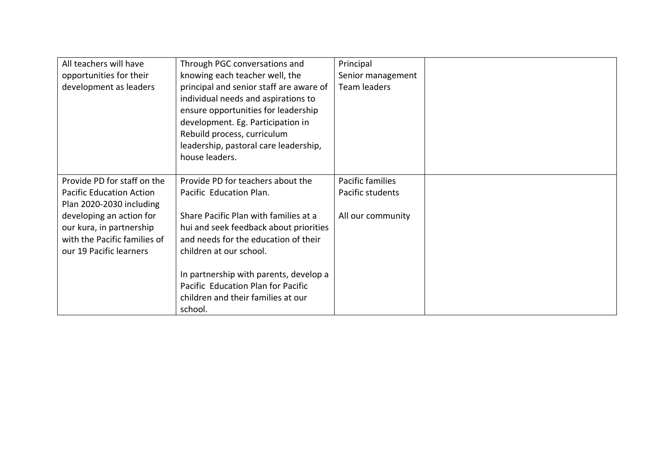| All teachers will have<br>opportunities for their<br>development as leaders                                                                                                                                   | Through PGC conversations and<br>knowing each teacher well, the<br>principal and senior staff are aware of<br>individual needs and aspirations to<br>ensure opportunities for leadership<br>development. Eg. Participation in<br>Rebuild process, curriculum<br>leadership, pastoral care leadership,<br>house leaders.                             | Principal<br>Senior management<br><b>Team leaders</b>     |  |
|---------------------------------------------------------------------------------------------------------------------------------------------------------------------------------------------------------------|-----------------------------------------------------------------------------------------------------------------------------------------------------------------------------------------------------------------------------------------------------------------------------------------------------------------------------------------------------|-----------------------------------------------------------|--|
| Provide PD for staff on the<br><b>Pacific Education Action</b><br>Plan 2020-2030 including<br>developing an action for<br>our kura, in partnership<br>with the Pacific families of<br>our 19 Pacific learners | Provide PD for teachers about the<br>Pacific Education Plan.<br>Share Pacific Plan with families at a<br>hui and seek feedback about priorities<br>and needs for the education of their<br>children at our school.<br>In partnership with parents, develop a<br>Pacific Education Plan for Pacific<br>children and their families at our<br>school. | Pacific families<br>Pacific students<br>All our community |  |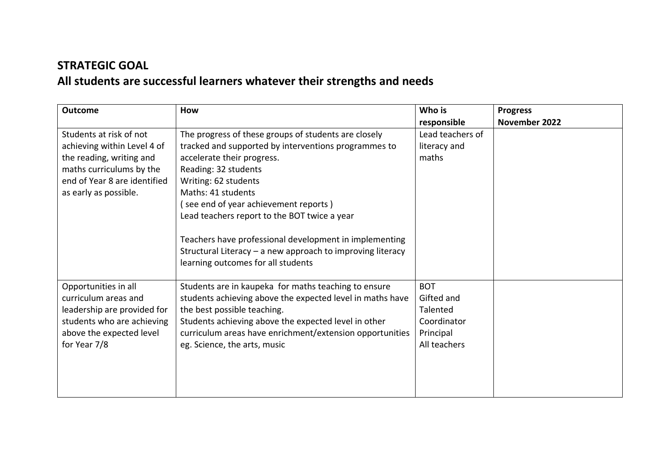# **STRATEGIC GOAL All students are successful learners whatever their strengths and needs**

| <b>Outcome</b>                                                                                                                                                          | How                                                                                                                                                                                                                                                                                                                                                                                                                              | Who is                                                                           | <b>Progress</b> |
|-------------------------------------------------------------------------------------------------------------------------------------------------------------------------|----------------------------------------------------------------------------------------------------------------------------------------------------------------------------------------------------------------------------------------------------------------------------------------------------------------------------------------------------------------------------------------------------------------------------------|----------------------------------------------------------------------------------|-----------------|
|                                                                                                                                                                         |                                                                                                                                                                                                                                                                                                                                                                                                                                  | responsible                                                                      | November 2022   |
| Students at risk of not<br>achieving within Level 4 of<br>the reading, writing and<br>maths curriculums by the<br>end of Year 8 are identified<br>as early as possible. | The progress of these groups of students are closely<br>tracked and supported by interventions programmes to<br>accelerate their progress.<br>Reading: 32 students<br>Writing: 62 students<br>Maths: 41 students<br>see end of year achievement reports)<br>Lead teachers report to the BOT twice a year<br>Teachers have professional development in implementing<br>Structural Literacy - a new approach to improving literacy | Lead teachers of<br>literacy and<br>maths                                        |                 |
| Opportunities in all<br>curriculum areas and<br>leadership are provided for<br>students who are achieving<br>above the expected level<br>for Year 7/8                   | learning outcomes for all students<br>Students are in kaupeka for maths teaching to ensure<br>students achieving above the expected level in maths have<br>the best possible teaching.<br>Students achieving above the expected level in other<br>curriculum areas have enrichment/extension opportunities<br>eg. Science, the arts, music                                                                                       | <b>BOT</b><br>Gifted and<br>Talented<br>Coordinator<br>Principal<br>All teachers |                 |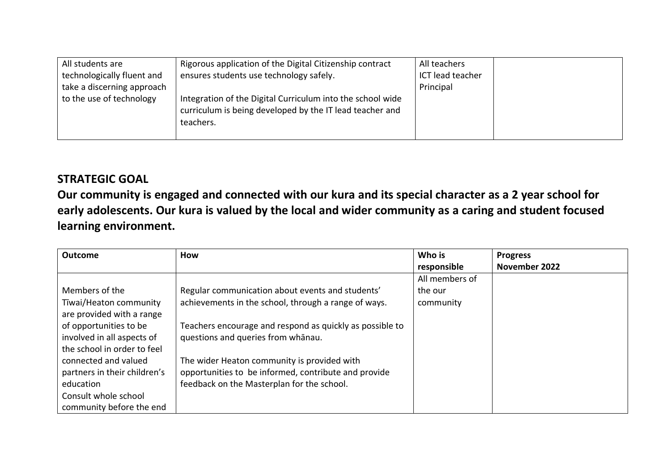| All students are           | Rigorous application of the Digital Citizenship contract                                                                            | All teachers     |  |
|----------------------------|-------------------------------------------------------------------------------------------------------------------------------------|------------------|--|
| technologically fluent and | ensures students use technology safely.                                                                                             | ICT lead teacher |  |
| take a discerning approach |                                                                                                                                     | Principal        |  |
| to the use of technology   | Integration of the Digital Curriculum into the school wide<br>curriculum is being developed by the IT lead teacher and<br>teachers. |                  |  |

**Our community is engaged and connected with our kura and its special character as a 2 year school for early adolescents. Our kura is valued by the local and wider community as a caring and student focused learning environment.**

| <b>Outcome</b>                                      | <b>How</b>                                               | Who is         | <b>Progress</b> |
|-----------------------------------------------------|----------------------------------------------------------|----------------|-----------------|
|                                                     |                                                          | responsible    | November 2022   |
|                                                     |                                                          | All members of |                 |
| Members of the                                      | Regular communication about events and students'         | the our        |                 |
| Tīwai/Heaton community<br>are provided with a range | achievements in the school, through a range of ways.     | community      |                 |
| of opportunities to be                              | Teachers encourage and respond as quickly as possible to |                |                 |
| involved in all aspects of                          | questions and queries from whanau.                       |                |                 |
| the school in order to feel                         |                                                          |                |                 |
| connected and valued                                | The wider Heaton community is provided with              |                |                 |
| partners in their children's                        | opportunities to be informed, contribute and provide     |                |                 |
| education                                           | feedback on the Masterplan for the school.               |                |                 |
| Consult whole school                                |                                                          |                |                 |
| community before the end                            |                                                          |                |                 |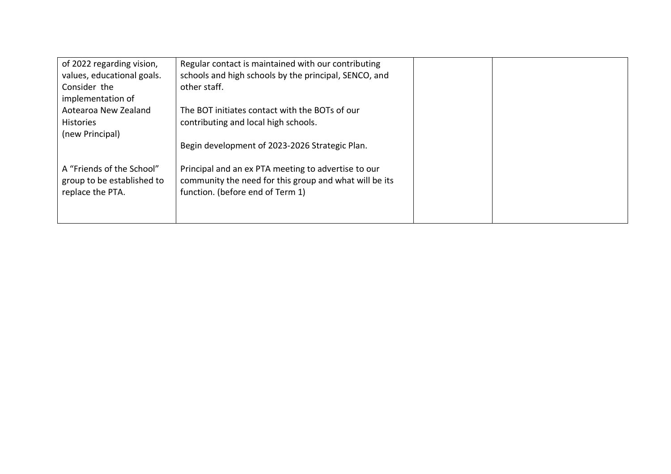| of 2022 regarding vision,                                                   | Regular contact is maintained with our contributing                                                                                               |
|-----------------------------------------------------------------------------|---------------------------------------------------------------------------------------------------------------------------------------------------|
| values, educational goals.                                                  | schools and high schools by the principal, SENCO, and                                                                                             |
| Consider the                                                                | other staff.                                                                                                                                      |
| implementation of                                                           |                                                                                                                                                   |
| Aotearoa New Zealand                                                        | The BOT initiates contact with the BOTs of our                                                                                                    |
| <b>Histories</b>                                                            | contributing and local high schools.                                                                                                              |
| (new Principal)                                                             |                                                                                                                                                   |
|                                                                             | Begin development of 2023-2026 Strategic Plan.                                                                                                    |
| A "Friends of the School"<br>group to be established to<br>replace the PTA. | Principal and an ex PTA meeting to advertise to our<br>community the need for this group and what will be its<br>function. (before end of Term 1) |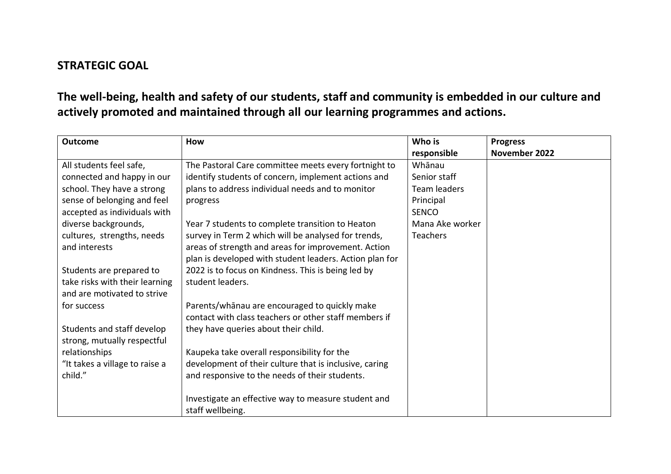**The well-being, health and safety of our students, staff and community is embedded in our culture and actively promoted and maintained through all our learning programmes and actions.**

| <b>Outcome</b>                 | How                                                     | Who is          | <b>Progress</b> |
|--------------------------------|---------------------------------------------------------|-----------------|-----------------|
|                                |                                                         | responsible     | November 2022   |
| All students feel safe,        | The Pastoral Care committee meets every fortnight to    | Whānau          |                 |
| connected and happy in our     | identify students of concern, implement actions and     | Senior staff    |                 |
| school. They have a strong     | plans to address individual needs and to monitor        | Team leaders    |                 |
| sense of belonging and feel    | progress                                                | Principal       |                 |
| accepted as individuals with   |                                                         | <b>SENCO</b>    |                 |
| diverse backgrounds,           | Year 7 students to complete transition to Heaton        | Mana Ake worker |                 |
| cultures, strengths, needs     | survey in Term 2 which will be analysed for trends,     | Teachers        |                 |
| and interests                  | areas of strength and areas for improvement. Action     |                 |                 |
|                                | plan is developed with student leaders. Action plan for |                 |                 |
| Students are prepared to       | 2022 is to focus on Kindness. This is being led by      |                 |                 |
| take risks with their learning | student leaders.                                        |                 |                 |
| and are motivated to strive    |                                                         |                 |                 |
| for success                    | Parents/whanau are encouraged to quickly make           |                 |                 |
|                                | contact with class teachers or other staff members if   |                 |                 |
| Students and staff develop     | they have queries about their child.                    |                 |                 |
| strong, mutually respectful    |                                                         |                 |                 |
| relationships                  | Kaupeka take overall responsibility for the             |                 |                 |
| "It takes a village to raise a | development of their culture that is inclusive, caring  |                 |                 |
| child."                        | and responsive to the needs of their students.          |                 |                 |
|                                |                                                         |                 |                 |
|                                | Investigate an effective way to measure student and     |                 |                 |
|                                | staff wellbeing.                                        |                 |                 |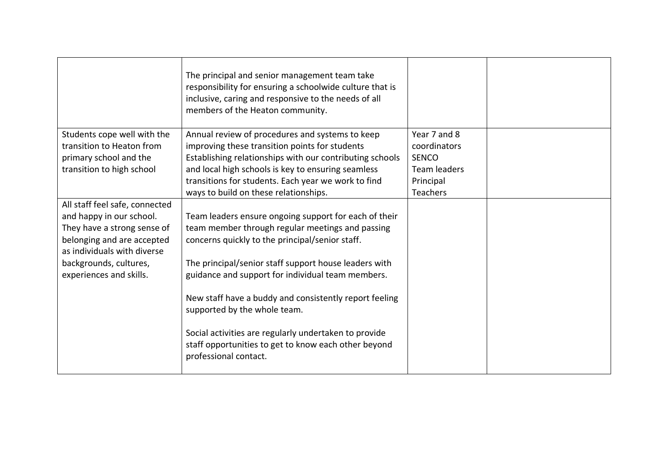|                                                                                                                                                                                                             | The principal and senior management team take<br>responsibility for ensuring a schoolwide culture that is<br>inclusive, caring and responsive to the needs of all<br>members of the Heaton community.                                                                                                                                                                                                                                                                                                          |                                                                                                     |  |
|-------------------------------------------------------------------------------------------------------------------------------------------------------------------------------------------------------------|----------------------------------------------------------------------------------------------------------------------------------------------------------------------------------------------------------------------------------------------------------------------------------------------------------------------------------------------------------------------------------------------------------------------------------------------------------------------------------------------------------------|-----------------------------------------------------------------------------------------------------|--|
| Students cope well with the<br>transition to Heaton from<br>primary school and the<br>transition to high school                                                                                             | Annual review of procedures and systems to keep<br>improving these transition points for students<br>Establishing relationships with our contributing schools<br>and local high schools is key to ensuring seamless<br>transitions for students. Each year we work to find<br>ways to build on these relationships.                                                                                                                                                                                            | Year 7 and 8<br>coordinators<br><b>SENCO</b><br><b>Team leaders</b><br>Principal<br><b>Teachers</b> |  |
| All staff feel safe, connected<br>and happy in our school.<br>They have a strong sense of<br>belonging and are accepted<br>as individuals with diverse<br>backgrounds, cultures,<br>experiences and skills. | Team leaders ensure ongoing support for each of their<br>team member through regular meetings and passing<br>concerns quickly to the principal/senior staff.<br>The principal/senior staff support house leaders with<br>guidance and support for individual team members.<br>New staff have a buddy and consistently report feeling<br>supported by the whole team.<br>Social activities are regularly undertaken to provide<br>staff opportunities to get to know each other beyond<br>professional contact. |                                                                                                     |  |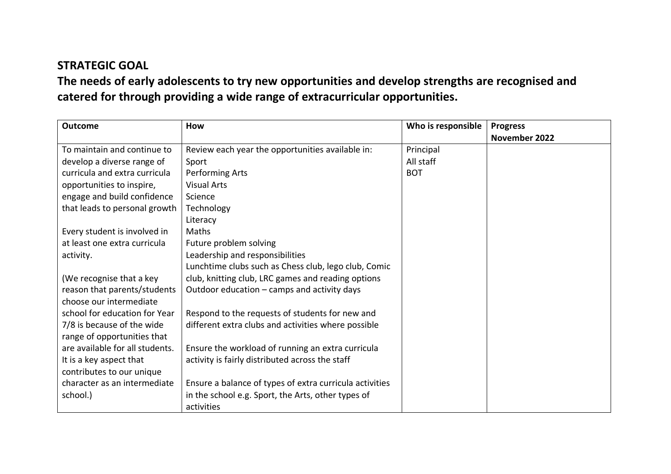**The needs of early adolescents to try new opportunities and develop strengths are recognised and catered for through providing a wide range of extracurricular opportunities.**

| <b>Outcome</b>                  | <b>How</b>                                              | Who is responsible | <b>Progress</b> |
|---------------------------------|---------------------------------------------------------|--------------------|-----------------|
|                                 |                                                         |                    | November 2022   |
| To maintain and continue to     | Review each year the opportunities available in:        | Principal          |                 |
| develop a diverse range of      | Sport                                                   | All staff          |                 |
| curricula and extra curricula   | Performing Arts                                         | <b>BOT</b>         |                 |
| opportunities to inspire,       | <b>Visual Arts</b>                                      |                    |                 |
| engage and build confidence     | Science                                                 |                    |                 |
| that leads to personal growth   | Technology                                              |                    |                 |
|                                 | Literacy                                                |                    |                 |
| Every student is involved in    | Maths                                                   |                    |                 |
| at least one extra curricula    | Future problem solving                                  |                    |                 |
| activity.                       | Leadership and responsibilities                         |                    |                 |
|                                 | Lunchtime clubs such as Chess club, lego club, Comic    |                    |                 |
| (We recognise that a key        | club, knitting club, LRC games and reading options      |                    |                 |
| reason that parents/students    | Outdoor education – camps and activity days             |                    |                 |
| choose our intermediate         |                                                         |                    |                 |
| school for education for Year   | Respond to the requests of students for new and         |                    |                 |
| 7/8 is because of the wide      | different extra clubs and activities where possible     |                    |                 |
| range of opportunities that     |                                                         |                    |                 |
| are available for all students. | Ensure the workload of running an extra curricula       |                    |                 |
| It is a key aspect that         | activity is fairly distributed across the staff         |                    |                 |
| contributes to our unique       |                                                         |                    |                 |
| character as an intermediate    | Ensure a balance of types of extra curricula activities |                    |                 |
| school.)                        | in the school e.g. Sport, the Arts, other types of      |                    |                 |
|                                 | activities                                              |                    |                 |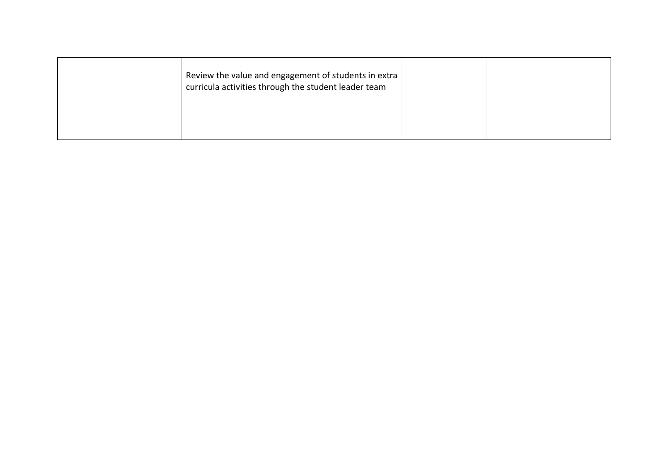| Review the value and engagement of students in extra<br>$'$ curricula activities through the student leader team |  |
|------------------------------------------------------------------------------------------------------------------|--|
|                                                                                                                  |  |